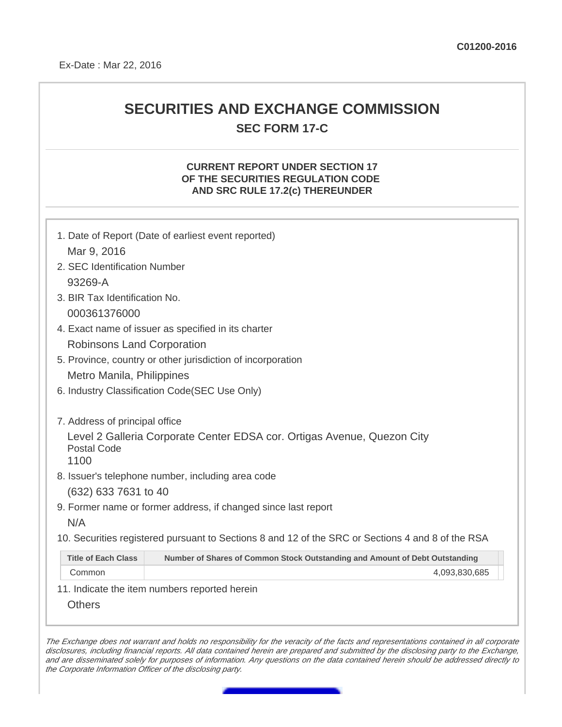## **SECURITIES AND EXCHANGE COMMISSION SEC FORM 17-C**

## **CURRENT REPORT UNDER SECTION 17 OF THE SECURITIES REGULATION CODE AND SRC RULE 17.2(c) THEREUNDER**

|                                                                                                       | 1. Date of Report (Date of earliest event reported)                                               |  |
|-------------------------------------------------------------------------------------------------------|---------------------------------------------------------------------------------------------------|--|
| Mar 9, 2016                                                                                           |                                                                                                   |  |
| 2. SEC Identification Number                                                                          |                                                                                                   |  |
| 93269-A                                                                                               |                                                                                                   |  |
| 3. BIR Tax Identification No.                                                                         |                                                                                                   |  |
| 000361376000                                                                                          |                                                                                                   |  |
| 4. Exact name of issuer as specified in its charter                                                   |                                                                                                   |  |
| <b>Robinsons Land Corporation</b>                                                                     |                                                                                                   |  |
| 5. Province, country or other jurisdiction of incorporation                                           |                                                                                                   |  |
| Metro Manila, Philippines                                                                             |                                                                                                   |  |
| 6. Industry Classification Code(SEC Use Only)                                                         |                                                                                                   |  |
| 7. Address of principal office                                                                        |                                                                                                   |  |
| Level 2 Galleria Corporate Center EDSA cor. Ortigas Avenue, Quezon City<br><b>Postal Code</b><br>1100 |                                                                                                   |  |
| 8. Issuer's telephone number, including area code                                                     |                                                                                                   |  |
| (632) 633 7631 to 40                                                                                  |                                                                                                   |  |
| 9. Former name or former address, if changed since last report                                        |                                                                                                   |  |
| N/A                                                                                                   |                                                                                                   |  |
|                                                                                                       | 10. Securities registered pursuant to Sections 8 and 12 of the SRC or Sections 4 and 8 of the RSA |  |
| <b>Title of Each Class</b>                                                                            | Number of Shares of Common Stock Outstanding and Amount of Debt Outstanding                       |  |
| Common                                                                                                | 4,093,830,685                                                                                     |  |
|                                                                                                       | 11. Indicate the item numbers reported herein                                                     |  |
| <b>Others</b>                                                                                         |                                                                                                   |  |

The Exchange does not warrant and holds no responsibility for the veracity of the facts and representations contained in all corporate disclosures, including financial reports. All data contained herein are prepared and submitted by the disclosing party to the Exchange, and are disseminated solely for purposes of information. Any questions on the data contained herein should be addressed directly to the Corporate Information Officer of the disclosing party.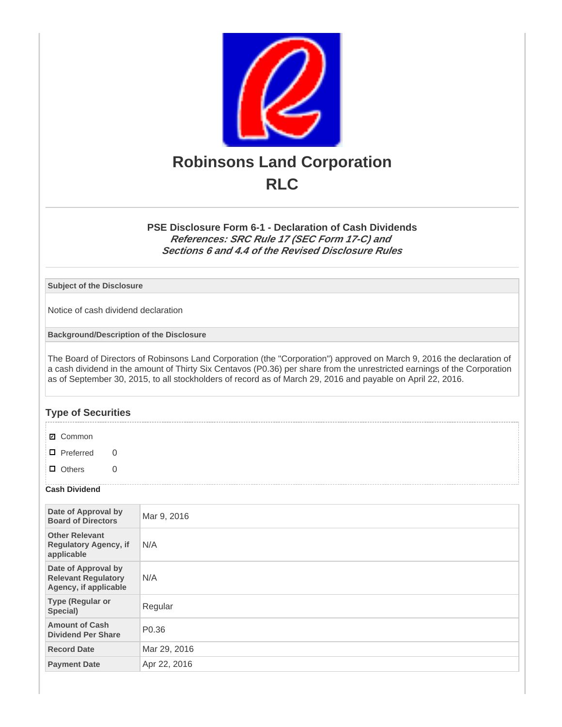

**PSE Disclosure Form 6-1 - Declaration of Cash Dividends References: SRC Rule 17 (SEC Form 17-C) and Sections 6 and 4.4 of the Revised Disclosure Rules**

**Subject of the Disclosure**

Notice of cash dividend declaration

**Background/Description of the Disclosure**

The Board of Directors of Robinsons Land Corporation (the "Corporation") approved on March 9, 2016 the declaration of a cash dividend in the amount of Thirty Six Centavos (P0.36) per share from the unrestricted earnings of the Corporation as of September 30, 2015, to all stockholders of record as of March 29, 2016 and payable on April 22, 2016.

## **Type of Securities**

**☑** Common

□ Preferred 0

□ Others 0

## **Cash Dividend**

| Date of Approval by<br><b>Board of Directors</b>                           | Mar 9, 2016       |
|----------------------------------------------------------------------------|-------------------|
| <b>Other Relevant</b><br><b>Regulatory Agency, if</b><br>applicable        | N/A               |
| Date of Approval by<br><b>Relevant Regulatory</b><br>Agency, if applicable | N/A               |
| <b>Type (Regular or</b><br>Special)                                        | Regular           |
| <b>Amount of Cash</b><br><b>Dividend Per Share</b>                         | P <sub>0.36</sub> |
| <b>Record Date</b>                                                         | Mar 29, 2016      |
| <b>Payment Date</b>                                                        | Apr 22, 2016      |